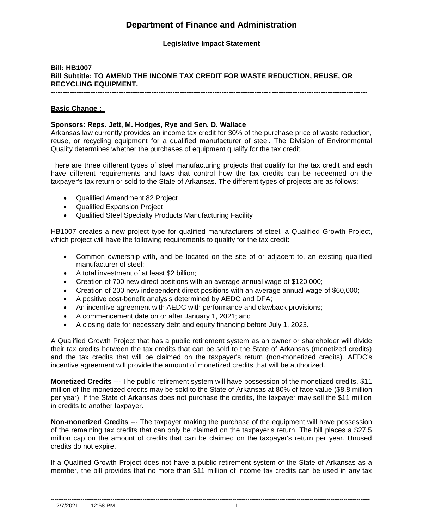# **Department of Finance and Administration**

# **Legislative Impact Statement**

# **Bill: HB1007 Bill Subtitle: TO AMEND THE INCOME TAX CREDIT FOR WASTE REDUCTION, REUSE, OR RECYCLING EQUIPMENT. ---------------------------------------------------------------------------------------------------------------------------------------**

**Basic Change :** 

#### **Sponsors: Reps. Jett, M. Hodges, Rye and Sen. D. Wallace**

Arkansas law currently provides an income tax credit for 30% of the purchase price of waste reduction, reuse, or recycling equipment for a qualified manufacturer of steel. The Division of Environmental Quality determines whether the purchases of equipment qualify for the tax credit.

There are three different types of steel manufacturing projects that qualify for the tax credit and each have different requirements and laws that control how the tax credits can be redeemed on the taxpayer's tax return or sold to the State of Arkansas. The different types of projects are as follows:

- Qualified Amendment 82 Project
- Qualified Expansion Project
- Qualified Steel Specialty Products Manufacturing Facility

HB1007 creates a new project type for qualified manufacturers of steel, a Qualified Growth Project, which project will have the following requirements to qualify for the tax credit:

- Common ownership with, and be located on the site of or adjacent to, an existing qualified manufacturer of steel;
- A total investment of at least \$2 billion;
- Creation of 700 new direct positions with an average annual wage of \$120,000;
- Creation of 200 new independent direct positions with an average annual wage of \$60,000;
- A positive cost-benefit analysis determined by AEDC and DFA;
- An incentive agreement with AEDC with performance and clawback provisions;
- A commencement date on or after January 1, 2021; and
- A closing date for necessary debt and equity financing before July 1, 2023.

A Qualified Growth Project that has a public retirement system as an owner or shareholder will divide their tax credits between the tax credits that can be sold to the State of Arkansas (monetized credits) and the tax credits that will be claimed on the taxpayer's return (non-monetized credits). AEDC's incentive agreement will provide the amount of monetized credits that will be authorized.

**Monetized Credits** --- The public retirement system will have possession of the monetized credits. \$11 million of the monetized credits may be sold to the State of Arkansas at 80% of face value (\$8.8 million per year). If the State of Arkansas does not purchase the credits, the taxpayer may sell the \$11 million in credits to another taxpayer.

**Non-monetized Credits** --- The taxpayer making the purchase of the equipment will have possession of the remaining tax credits that can only be claimed on the taxpayer's return. The bill places a \$27.5 million cap on the amount of credits that can be claimed on the taxpayer's return per year. Unused credits do not expire.

If a Qualified Growth Project does not have a public retirement system of the State of Arkansas as a member, the bill provides that no more than \$11 million of income tax credits can be used in any tax

--------------------------------------------------------------------------------------------------------------------------------------------------------------------------